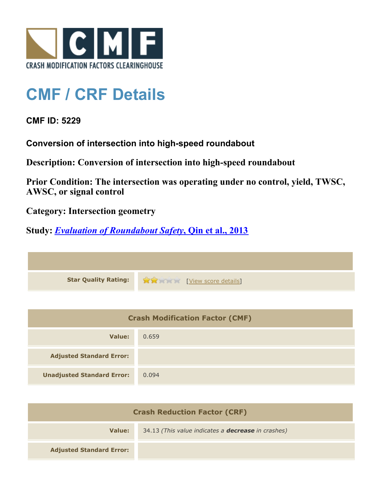

# **CMF / CRF Details**

## **CMF ID: 5229**

**Conversion of intersection into high-speed roundabout**

**Description: Conversion of intersection into high-speed roundabout**

**Prior Condition: The intersection was operating under no control, yield, TWSC, AWSC, or signal control**

**Category: Intersection geometry**

## **Study:** *[Evaluation of Roundabout Safety](http://www.cmfclearinghouse.org/study_detail.cfm?stid=317)***[, Qin et al., 2013](http://www.cmfclearinghouse.org/study_detail.cfm?stid=317)**

**Star Quality Rating:**  $\mathbf{\hat{x}}$  **and**  $\mathbf{\hat{y}}$  [[View score details](http://www.cmfclearinghouse.org/score_details.cfm?facid=5229)]

| <b>Crash Modification Factor (CMF)</b> |       |
|----------------------------------------|-------|
| Value:                                 | 0.659 |
| <b>Adjusted Standard Error:</b>        |       |
| <b>Unadjusted Standard Error:</b>      | 0.094 |

| <b>Crash Reduction Factor (CRF)</b> |                                                           |
|-------------------------------------|-----------------------------------------------------------|
| Value:                              | 34.13 (This value indicates a <b>decrease</b> in crashes) |
| <b>Adjusted Standard Error:</b>     |                                                           |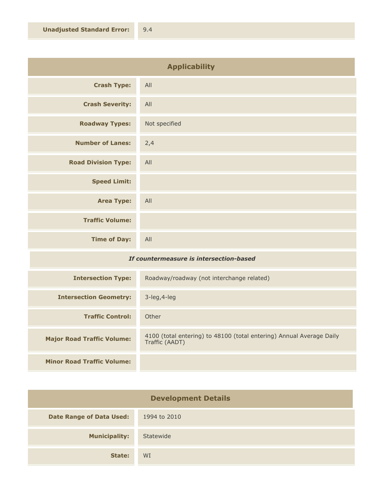| <b>Applicability</b>       |               |
|----------------------------|---------------|
| <b>Crash Type:</b>         | All           |
| <b>Crash Severity:</b>     | All           |
| <b>Roadway Types:</b>      | Not specified |
| <b>Number of Lanes:</b>    | 2,4           |
| <b>Road Division Type:</b> | All           |
| <b>Speed Limit:</b>        |               |
| <b>Area Type:</b>          | All           |
| <b>Traffic Volume:</b>     |               |
| <b>Time of Day:</b>        | All           |

### *If countermeasure is intersection-based*

| <b>Intersection Type:</b>         | Roadway/roadway (not interchange related)                                              |
|-----------------------------------|----------------------------------------------------------------------------------------|
| <b>Intersection Geometry:</b>     | $3$ -leg, $4$ -leg                                                                     |
| <b>Traffic Control:</b>           | Other                                                                                  |
| <b>Major Road Traffic Volume:</b> | 4100 (total entering) to 48100 (total entering) Annual Average Daily<br>Traffic (AADT) |
|                                   |                                                                                        |
| <b>Minor Road Traffic Volume:</b> |                                                                                        |

| <b>Development Details</b>      |              |
|---------------------------------|--------------|
| <b>Date Range of Data Used:</b> | 1994 to 2010 |
| <b>Municipality:</b>            | Statewide    |
| State:                          | <b>WI</b>    |